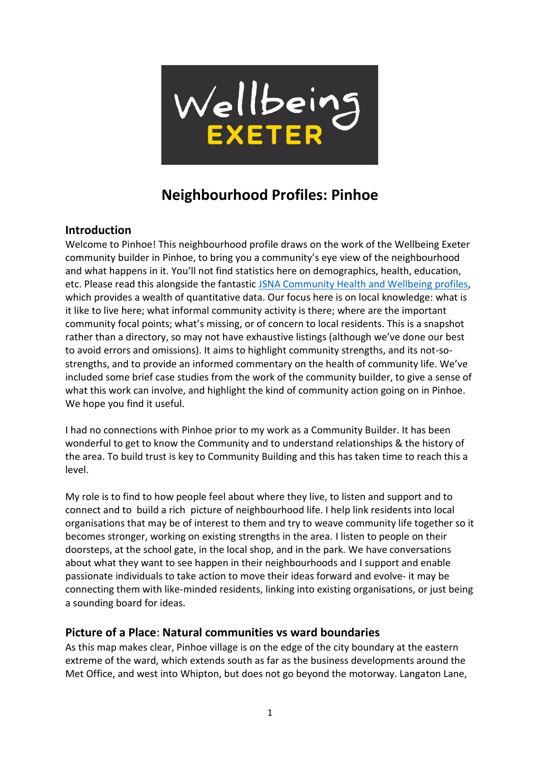

# **Neighbourhood Profiles: Pinhoe**

#### **Introduction**

Welcome to Pinhoe! This neighbourhood profile draws on the work of the Wellbeing Exeter community builder in Pinhoe, to bring you a community's eye view of the neighbourhood and what happens in it. You'll not find statistics here on demographics, health, education, etc. Please read this alongside the fantastic [JSNA Community Health and Wellbeing profiles,](http://www.devonhealthandwellbeing.org.uk/jsna/profiles/) which provides a wealth of quantitative data. Our focus here is on local knowledge: what is it like to live here; what informal community activity is there; where are the important community focal points; what's missing, or of concern to local residents. This is a snapshot rather than a directory, so may not have exhaustive listings (although we've done our best to avoid errors and omissions). It aims to highlight community strengths, and its not-sostrengths, and to provide an informed commentary on the health of community life. We've included some brief case studies from the work of the community builder, to give a sense of what this work can involve, and highlight the kind of community action going on in Pinhoe. We hope you find it useful.

I had no connections with Pinhoe prior to my work as a Community Builder. It has been wonderful to get to know the Community and to understand relationships & the history of the area. To build trust is key to Community Building and this has taken time to reach this a level.

My role is to find to how people feel about where they live, to listen and support and to connect and to build a rich picture of neighbourhood life. I help link residents into local organisations that may be of interest to them and try to weave community life together so it becomes stronger, working on existing strengths in the area. I listen to people on their doorsteps, at the school gate, in the local shop, and in the park. We have conversations about what they want to see happen in their neighbourhoods and I support and enable passionate individuals to take action to move their ideas forward and evolve- it may be connecting them with like-minded residents, linking into existing organisations, or just being a sounding board for ideas.

#### **Picture of a Place**: **Natural communities vs ward boundaries**

As this map makes clear, Pinhoe village is on the edge of the city boundary at the eastern extreme of the ward, which extends south as far as the business developments around the Met Office, and west into Whipton, but does not go beyond the motorway. Langaton Lane,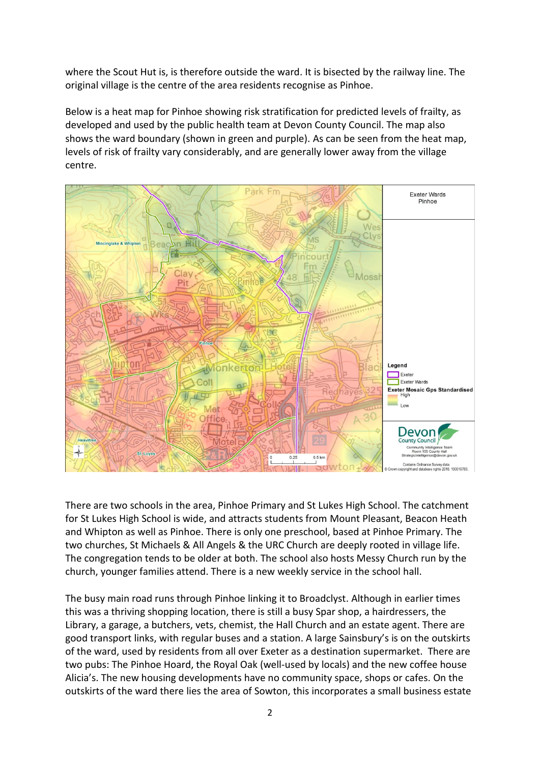where the Scout Hut is, is therefore outside the ward. It is bisected by the railway line. The original village is the centre of the area residents recognise as Pinhoe.

Below is a heat map for Pinhoe showing risk stratification for predicted levels of frailty, as developed and used by the public health team at Devon County Council. The map also shows the ward boundary (shown in green and purple). As can be seen from the heat map, levels of risk of frailty vary considerably, and are generally lower away from the village centre.



There are two schools in the area, Pinhoe Primary and St Lukes High School. The catchment for St Lukes High School is wide, and attracts students from Mount Pleasant, Beacon Heath and Whipton as well as Pinhoe. There is only one preschool, based at Pinhoe Primary. The two churches, St Michaels & All Angels & the URC Church are deeply rooted in village life. The congregation tends to be older at both. The school also hosts Messy Church run by the church, younger families attend. There is a new weekly service in the school hall.

The busy main road runs through Pinhoe linking it to Broadclyst. Although in earlier times this was a thriving shopping location, there is still a busy Spar shop, a hairdressers, the Library, a garage, a butchers, vets, chemist, the Hall Church and an estate agent. There are good transport links, with regular buses and a station. A large Sainsbury's is on the outskirts of the ward, used by residents from all over Exeter as a destination supermarket. There are two pubs: The Pinhoe Hoard, the Royal Oak (well-used by locals) and the new coffee house Alicia's. The new housing developments have no community space, shops or cafes. On the outskirts of the ward there lies the area of Sowton, this incorporates a small business estate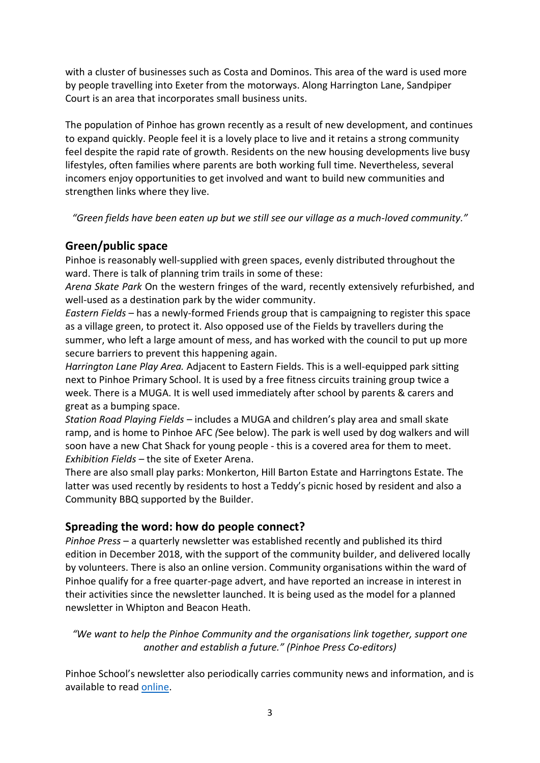with a cluster of businesses such as Costa and Dominos. This area of the ward is used more by people travelling into Exeter from the motorways. Along Harrington Lane, Sandpiper Court is an area that incorporates small business units.

The population of Pinhoe has grown recently as a result of new development, and continues to expand quickly. People feel it is a lovely place to live and it retains a strong community feel despite the rapid rate of growth. Residents on the new housing developments live busy lifestyles, often families where parents are both working full time. Nevertheless, several incomers enjoy opportunities to get involved and want to build new communities and strengthen links where they live.

*"Green fields have been eaten up but we still see our village as a much-loved community."*

## **Green/public space**

Pinhoe is reasonably well-supplied with green spaces, evenly distributed throughout the ward. There is talk of planning trim trails in some of these:

*Arena Skate Park* On the western fringes of the ward, recently extensively refurbished, and well-used as a destination park by the wider community.

*Eastern Fields* – has a newly-formed Friends group that is campaigning to register this space as a village green, to protect it. Also opposed use of the Fields by travellers during the summer, who left a large amount of mess, and has worked with the council to put up more secure barriers to prevent this happening again.

*Harrington Lane Play Area.* Adjacent to Eastern Fields. This is a well-equipped park sitting next to Pinhoe Primary School. It is used by a free fitness circuits training group twice a week. There is a MUGA. It is well used immediately after school by parents & carers and great as a bumping space.

*Station Road Playing Fields –* includes a MUGA and children's play area and small skate ramp, and is home to Pinhoe AFC *(*See below). The park is well used by dog walkers and will soon have a new Chat Shack for young people - this is a covered area for them to meet. *Exhibition Fields –* the site of Exeter Arena.

There are also small play parks: Monkerton, Hill Barton Estate and Harringtons Estate. The latter was used recently by residents to host a Teddy's picnic hosed by resident and also a Community BBQ supported by the Builder.

## **Spreading the word: how do people connect?**

*Pinhoe Press* – a quarterly newsletter was established recently and published its third edition in December 2018, with the support of the community builder, and delivered locally by volunteers. There is also an online version. Community organisations within the ward of Pinhoe qualify for a free quarter-page advert, and have reported an increase in interest in their activities since the newsletter launched. It is being used as the model for a planned newsletter in Whipton and Beacon Heath.

*"We want to help the Pinhoe Community and the organisations link together, support one another and establish a future." (Pinhoe Press Co-editors)*

Pinhoe School's newsletter also periodically carries community news and information, and is available to read [online.](http://www.pinhoecofeprimaryschool.co.uk/stream/newsletters/full/1/-/)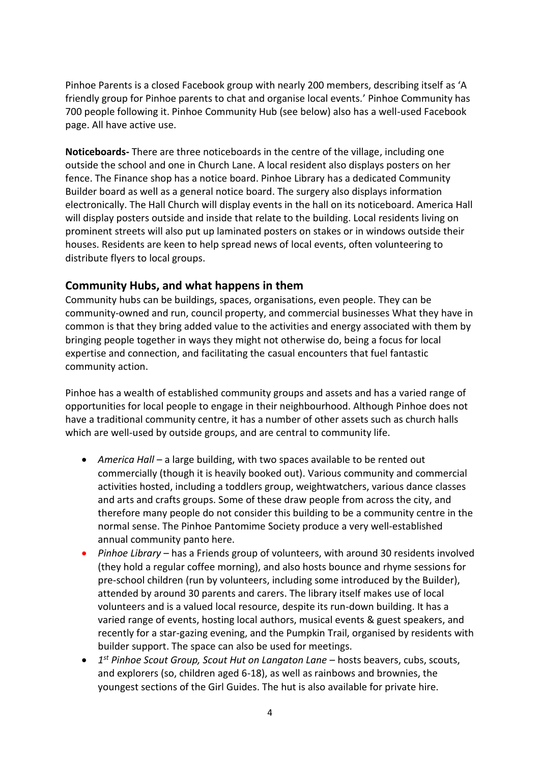Pinhoe Parents is a closed Facebook group with nearly 200 members, describing itself as 'A friendly group for Pinhoe parents to chat and organise local events.' Pinhoe Community has 700 people following it. Pinhoe Community Hub (see below) also has a well-used Facebook page. All have active use.

**Noticeboards-** There are three noticeboards in the centre of the village, including one outside the school and one in Church Lane. A local resident also displays posters on her fence. The Finance shop has a notice board. Pinhoe Library has a dedicated Community Builder board as well as a general notice board. The surgery also displays information electronically. The Hall Church will display events in the hall on its noticeboard. America Hall will display posters outside and inside that relate to the building. Local residents living on prominent streets will also put up laminated posters on stakes or in windows outside their houses. Residents are keen to help spread news of local events, often volunteering to distribute flyers to local groups.

#### **Community Hubs, and what happens in them**

Community hubs can be buildings, spaces, organisations, even people. They can be community-owned and run, council property, and commercial businesses What they have in common is that they bring added value to the activities and energy associated with them by bringing people together in ways they might not otherwise do, being a focus for local expertise and connection, and facilitating the casual encounters that fuel fantastic community action.

Pinhoe has a wealth of established community groups and assets and has a varied range of opportunities for local people to engage in their neighbourhood. Although Pinhoe does not have a traditional community centre, it has a number of other assets such as church halls which are well-used by outside groups, and are central to community life.

- *America Hall –* a large building, with two spaces available to be rented out commercially (though it is heavily booked out). Various community and commercial activities hosted, including a toddlers group, weightwatchers, various dance classes and arts and crafts groups. Some of these draw people from across the city, and therefore many people do not consider this building to be a community centre in the normal sense. The Pinhoe Pantomime Society produce a very well-established annual community panto here.
- *Pinhoe Library* has a Friends group of volunteers, with around 30 residents involved (they hold a regular coffee morning), and also hosts bounce and rhyme sessions for pre-school children (run by volunteers, including some introduced by the Builder), attended by around 30 parents and carers. The library itself makes use of local volunteers and is a valued local resource, despite its run-down building. It has a varied range of events, hosting local authors, musical events & guest speakers, and recently for a star-gazing evening, and the Pumpkin Trail, organised by residents with builder support. The space can also be used for meetings.
- *1 st Pinhoe Scout Group, Scout Hut on Langaton Lane* – hosts beavers, cubs, scouts, and explorers (so, children aged 6-18), as well as rainbows and brownies, the youngest sections of the Girl Guides. The hut is also available for private hire.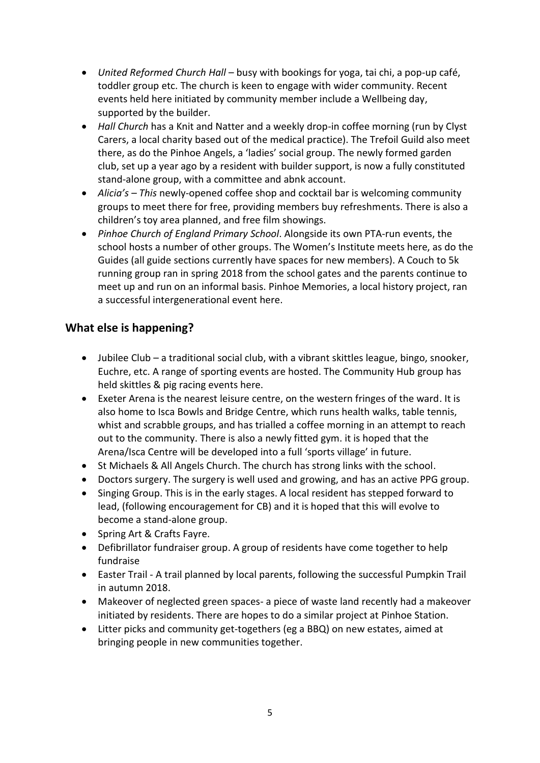- *United Reformed Church Hall* busy with bookings for yoga, tai chi, a pop-up café, toddler group etc. The church is keen to engage with wider community. Recent events held here initiated by community member include a Wellbeing day, supported by the builder.
- *Hall Church* has a Knit and Natter and a weekly drop-in coffee morning (run by Clyst Carers, a local charity based out of the medical practice). The Trefoil Guild also meet there, as do the Pinhoe Angels, a 'ladies' social group. The newly formed garden club, set up a year ago by a resident with builder support, is now a fully constituted stand-alone group, with a committee and abnk account.
- *Alicia's – This* newly-opened coffee shop and cocktail bar is welcoming community groups to meet there for free, providing members buy refreshments. There is also a children's toy area planned, and free film showings.
- *Pinhoe Church of England Primary School*. Alongside its own PTA-run events, the school hosts a number of other groups. The Women's Institute meets here, as do the Guides (all guide sections currently have spaces for new members). A Couch to 5k running group ran in spring 2018 from the school gates and the parents continue to meet up and run on an informal basis. Pinhoe Memories, a local history project, ran a successful intergenerational event here.

## **What else is happening?**

- Jubilee Club a traditional social club, with a vibrant skittles league, bingo, snooker, Euchre, etc. A range of sporting events are hosted. The Community Hub group has held skittles & pig racing events here.
- Exeter Arena is the nearest leisure centre, on the western fringes of the ward. It is also home to Isca Bowls and Bridge Centre, which runs health walks, table tennis, whist and scrabble groups, and has trialled a coffee morning in an attempt to reach out to the community. There is also a newly fitted gym. it is hoped that the Arena/Isca Centre will be developed into a full 'sports village' in future.
- St Michaels & All Angels Church. The church has strong links with the school.
- Doctors surgery. The surgery is well used and growing, and has an active PPG group.
- Singing Group. This is in the early stages. A local resident has stepped forward to lead, (following encouragement for CB) and it is hoped that this will evolve to become a stand-alone group.
- Spring Art & Crafts Fayre.
- Defibrillator fundraiser group. A group of residents have come together to help fundraise
- Easter Trail A trail planned by local parents, following the successful Pumpkin Trail in autumn 2018.
- Makeover of neglected green spaces- a piece of waste land recently had a makeover initiated by residents. There are hopes to do a similar project at Pinhoe Station.
- Litter picks and community get-togethers (eg a BBQ) on new estates, aimed at bringing people in new communities together.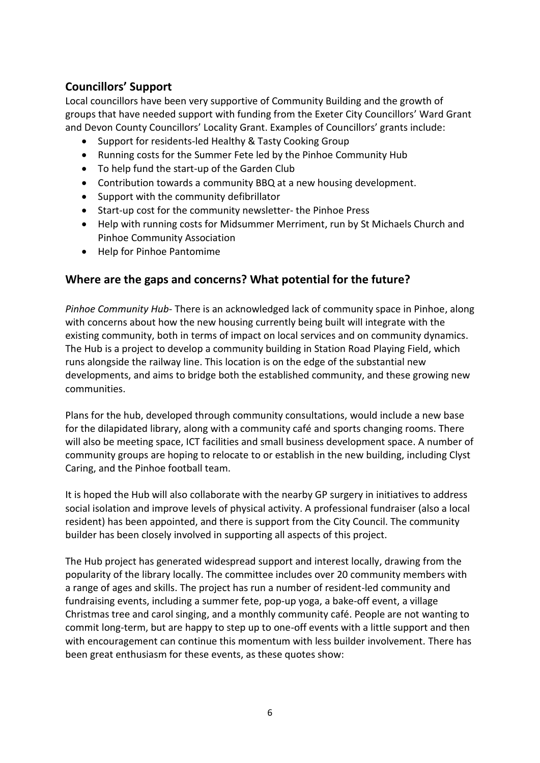# **Councillors' Support**

Local councillors have been very supportive of Community Building and the growth of groups that have needed support with funding from the Exeter City Councillors' Ward Grant and Devon County Councillors' Locality Grant. Examples of Councillors' grants include:

- Support for residents-led Healthy & Tasty Cooking Group
- Running costs for the Summer Fete led by the Pinhoe Community Hub
- To help fund the start-up of the Garden Club
- Contribution towards a community BBQ at a new housing development.
- Support with the community defibrillator
- Start-up cost for the community newsletter- the Pinhoe Press
- Help with running costs for Midsummer Merriment, run by St Michaels Church and Pinhoe Community Association
- Help for Pinhoe Pantomime

#### **Where are the gaps and concerns? What potential for the future?**

*Pinhoe Community Hub-* There is an acknowledged lack of community space in Pinhoe, along with concerns about how the new housing currently being built will integrate with the existing community, both in terms of impact on local services and on community dynamics. The Hub is a project to develop a community building in Station Road Playing Field, which runs alongside the railway line. This location is on the edge of the substantial new developments, and aims to bridge both the established community, and these growing new communities.

Plans for the hub, developed through community consultations, would include a new base for the dilapidated library, along with a community café and sports changing rooms. There will also be meeting space, ICT facilities and small business development space. A number of community groups are hoping to relocate to or establish in the new building, including Clyst Caring, and the Pinhoe football team.

It is hoped the Hub will also collaborate with the nearby GP surgery in initiatives to address social isolation and improve levels of physical activity. A professional fundraiser (also a local resident) has been appointed, and there is support from the City Council. The community builder has been closely involved in supporting all aspects of this project.

The Hub project has generated widespread support and interest locally, drawing from the popularity of the library locally. The committee includes over 20 community members with a range of ages and skills. The project has run a number of resident-led community and fundraising events, including a summer fete, pop-up yoga, a bake-off event, a village Christmas tree and carol singing, and a monthly community café. People are not wanting to commit long-term, but are happy to step up to one-off events with a little support and then with encouragement can continue this momentum with less builder involvement. There has been great enthusiasm for these events, as these quotes show: